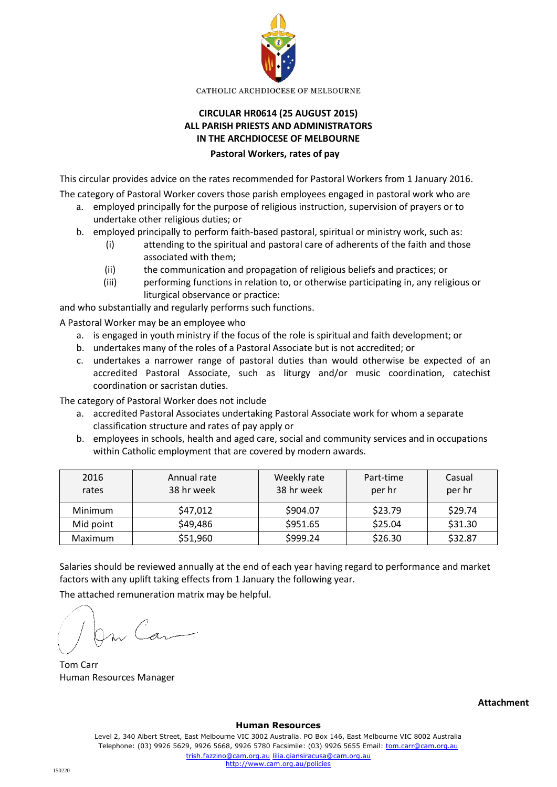

CATHOLIC ARCHDIOCESE OF MELBOURNE

## **CIRCULAR HR0614 (25 AUGUST 2015) ALL PARISH PRIESTS AND ADMINISTRATORS IN THE ARCHDIOCESE OF MELBOURNE**

## **Pastoral Workers, rates of pay**

This circular provides advice on the rates recommended for Pastoral Workers from 1 January 2016.

The category of Pastoral Worker covers those parish employees engaged in pastoral work who are

- a. employed principally for the purpose of religious instruction, supervision of prayers or to undertake other religious duties; or
- b. employed principally to perform faith-based pastoral, spiritual or ministry work, such as:
	- (i) attending to the spiritual and pastoral care of adherents of the faith and those associated with them;
	- (ii) the communication and propagation of religious beliefs and practices; or
	- (iii) performing functions in relation to, or otherwise participating in, any religious or liturgical observance or practice:

and who substantially and regularly performs such functions.

A Pastoral Worker may be an employee who

- a. is engaged in youth ministry if the focus of the role is spiritual and faith development; or
- b. undertakes many of the roles of a Pastoral Associate but is not accredited; or
- c. undertakes a narrower range of pastoral duties than would otherwise be expected of an accredited Pastoral Associate, such as liturgy and/or music coordination, catechist coordination or sacristan duties.

The category of Pastoral Worker does not include

- a. accredited Pastoral Associates undertaking Pastoral Associate work for whom a separate classification structure and rates of pay apply or
- b. employees in schools, health and aged care, social and community services and in occupations within Catholic employment that are covered by modern awards.

| 2016<br>rates | Annual rate<br>38 hr week | Weekly rate<br>38 hr week | Part-time<br>per hr | Casual<br>per hr |
|---------------|---------------------------|---------------------------|---------------------|------------------|
| Minimum       | \$47,012                  | \$904.07                  | \$23.79             | \$29.74          |
| Mid point     | \$49,486                  | \$951.65                  | \$25.04             | \$31.30          |
| Maximum       | \$51,960                  | \$999.24                  | \$26.30             | \$32.87          |

Salaries should be reviewed annually at the end of each year having regard to performance and market factors with any uplift taking effects from 1 January the following year.

The attached remuneration matrix may be helpful.

On Car

Tom Carr Human Resources Manager

**Attachment**

## **Human Resources**

Level 2, 340 Albert Street, East Melbourne VIC 3002 Australia. PO Box 146, East Melbourne VIC 8002 Australia Telephone: (03) 9926 5629, 9926 5668, 9926 5780 Facsimile: (03) 9926 5655 Email: tom.carr@cam.org.au trish.fazzino@cam.org.au lilia.giansiracusa@cam.org.au http://www.cam.org.au/policies